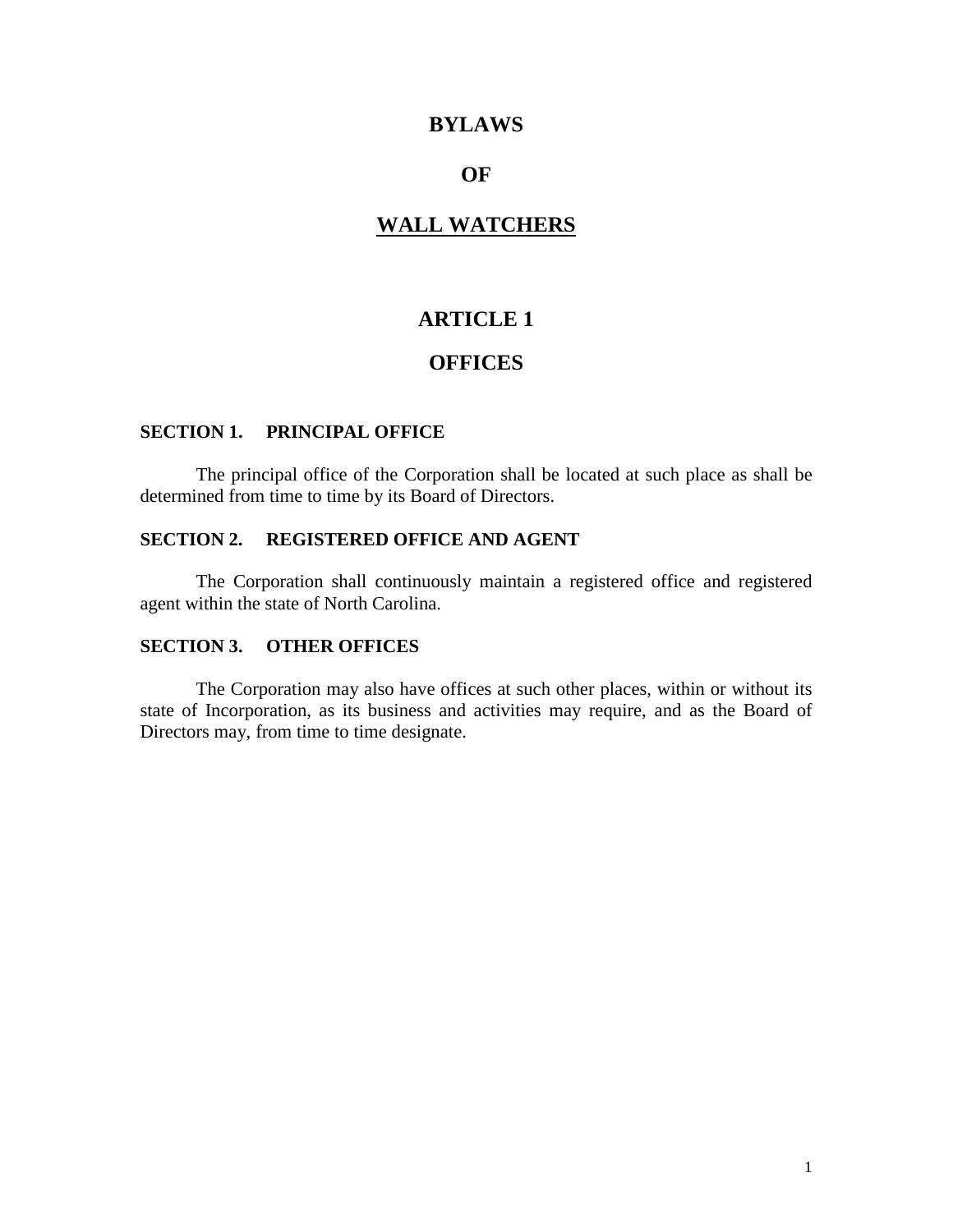# **BYLAWS**

# **OF**

# **WALL WATCHERS**

# **ARTICLE 1**

# **OFFICES**

## **SECTION 1. PRINCIPAL OFFICE**

The principal office of the Corporation shall be located at such place as shall be determined from time to time by its Board of Directors.

## **SECTION 2. REGISTERED OFFICE AND AGENT**

The Corporation shall continuously maintain a registered office and registered agent within the state of North Carolina.

## **SECTION 3. OTHER OFFICES**

The Corporation may also have offices at such other places, within or without its state of Incorporation, as its business and activities may require, and as the Board of Directors may, from time to time designate.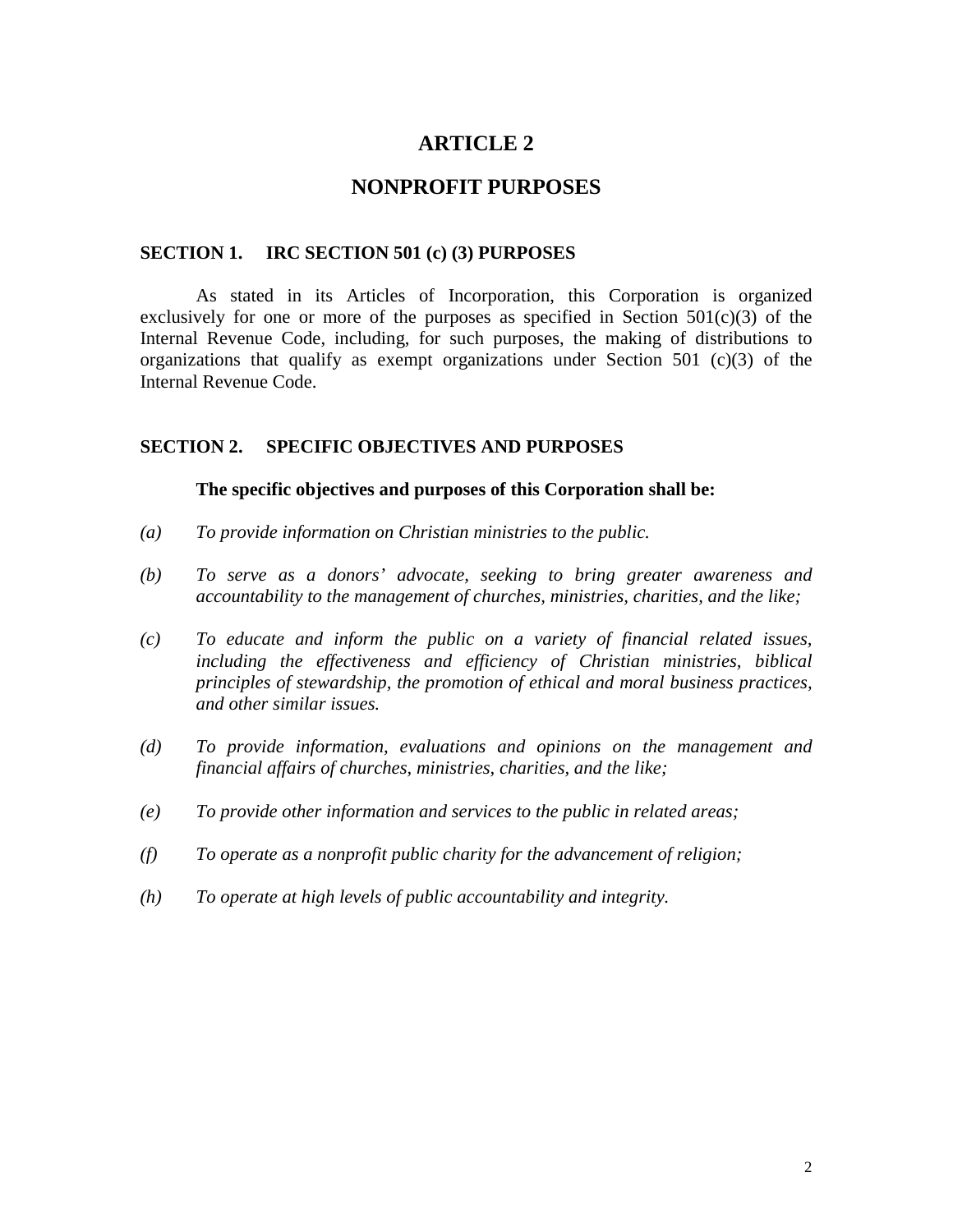# **NONPROFIT PURPOSES**

#### **SECTION 1. IRC SECTION 501 (c) (3) PURPOSES**

As stated in its Articles of Incorporation, this Corporation is organized exclusively for one or more of the purposes as specified in Section  $501(c)(3)$  of the Internal Revenue Code, including, for such purposes, the making of distributions to organizations that qualify as exempt organizations under Section 501 (c)(3) of the Internal Revenue Code.

## **SECTION 2. SPECIFIC OBJECTIVES AND PURPOSES**

#### **The specific objectives and purposes of this Corporation shall be:**

- *(a) To provide information on Christian ministries to the public.*
- *(b) To serve as a donors' advocate, seeking to bring greater awareness and accountability to the management of churches, ministries, charities, and the like;*
- *(c) To educate and inform the public on a variety of financial related issues, including the effectiveness and efficiency of Christian ministries, biblical principles of stewardship, the promotion of ethical and moral business practices, and other similar issues.*
- *(d) To provide information, evaluations and opinions on the management and financial affairs of churches, ministries, charities, and the like;*
- *(e) To provide other information and services to the public in related areas;*
- *(f) To operate as a nonprofit public charity for the advancement of religion;*
- *(h) To operate at high levels of public accountability and integrity.*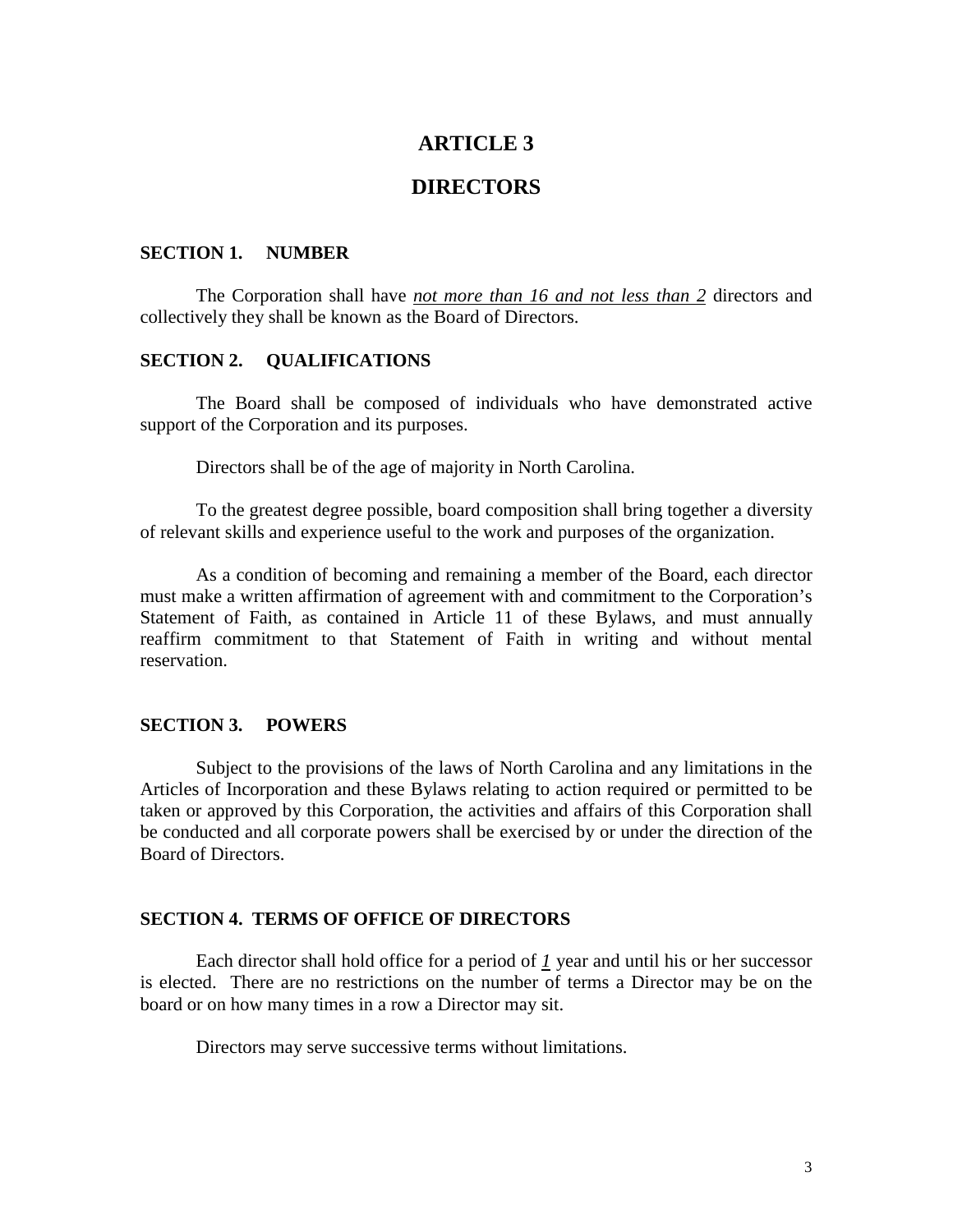# **DIRECTORS**

### **SECTION 1. NUMBER**

The Corporation shall have *not more than 16 and not less than 2* directors and collectively they shall be known as the Board of Directors.

## **SECTION 2. QUALIFICATIONS**

The Board shall be composed of individuals who have demonstrated active support of the Corporation and its purposes.

Directors shall be of the age of majority in North Carolina.

To the greatest degree possible, board composition shall bring together a diversity of relevant skills and experience useful to the work and purposes of the organization.

As a condition of becoming and remaining a member of the Board, each director must make a written affirmation of agreement with and commitment to the Corporation's Statement of Faith, as contained in Article 11 of these Bylaws, and must annually reaffirm commitment to that Statement of Faith in writing and without mental reservation.

#### **SECTION 3. POWERS**

Subject to the provisions of the laws of North Carolina and any limitations in the Articles of Incorporation and these Bylaws relating to action required or permitted to be taken or approved by this Corporation, the activities and affairs of this Corporation shall be conducted and all corporate powers shall be exercised by or under the direction of the Board of Directors.

## **SECTION 4. TERMS OF OFFICE OF DIRECTORS**

Each director shall hold office for a period of *1* year and until his or her successor is elected. There are no restrictions on the number of terms a Director may be on the board or on how many times in a row a Director may sit.

Directors may serve successive terms without limitations.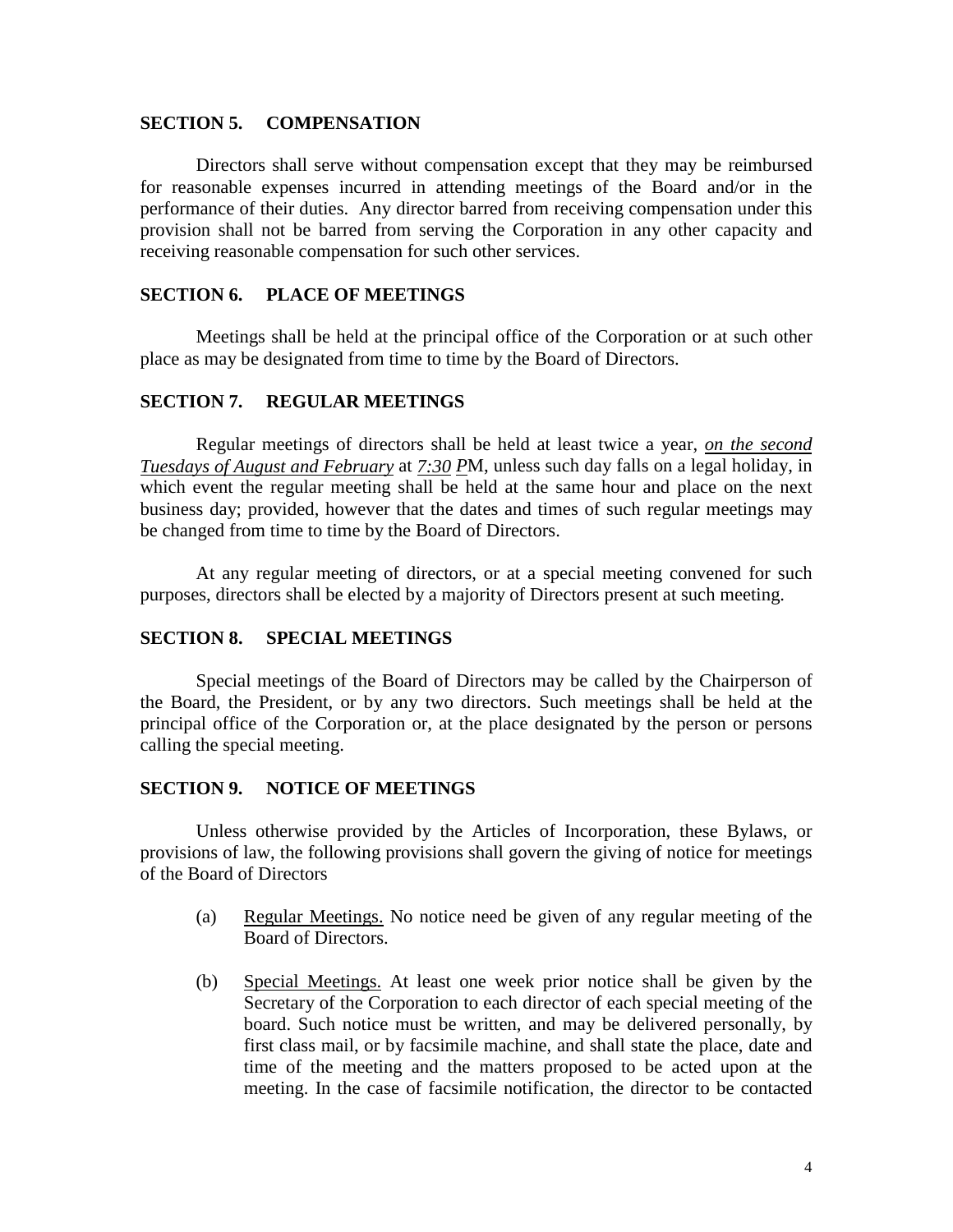## **SECTION 5. COMPENSATION**

Directors shall serve without compensation except that they may be reimbursed for reasonable expenses incurred in attending meetings of the Board and/or in the performance of their duties. Any director barred from receiving compensation under this provision shall not be barred from serving the Corporation in any other capacity and receiving reasonable compensation for such other services.

# **SECTION 6. PLACE OF MEETINGS**

Meetings shall be held at the principal office of the Corporation or at such other place as may be designated from time to time by the Board of Directors.

# **SECTION 7. REGULAR MEETINGS**

Regular meetings of directors shall be held at least twice a year, *on the second Tuesdays of August and February* at *7:30 P*M, unless such day falls on a legal holiday, in which event the regular meeting shall be held at the same hour and place on the next business day; provided, however that the dates and times of such regular meetings may be changed from time to time by the Board of Directors.

At any regular meeting of directors, or at a special meeting convened for such purposes, directors shall be elected by a majority of Directors present at such meeting.

### **SECTION 8. SPECIAL MEETINGS**

Special meetings of the Board of Directors may be called by the Chairperson of the Board, the President, or by any two directors. Such meetings shall be held at the principal office of the Corporation or, at the place designated by the person or persons calling the special meeting.

## **SECTION 9. NOTICE OF MEETINGS**

Unless otherwise provided by the Articles of Incorporation, these Bylaws, or provisions of law, the following provisions shall govern the giving of notice for meetings of the Board of Directors

- (a) Regular Meetings. No notice need be given of any regular meeting of the Board of Directors.
- (b) Special Meetings. At least one week prior notice shall be given by the Secretary of the Corporation to each director of each special meeting of the board. Such notice must be written, and may be delivered personally, by first class mail, or by facsimile machine, and shall state the place, date and time of the meeting and the matters proposed to be acted upon at the meeting. In the case of facsimile notification, the director to be contacted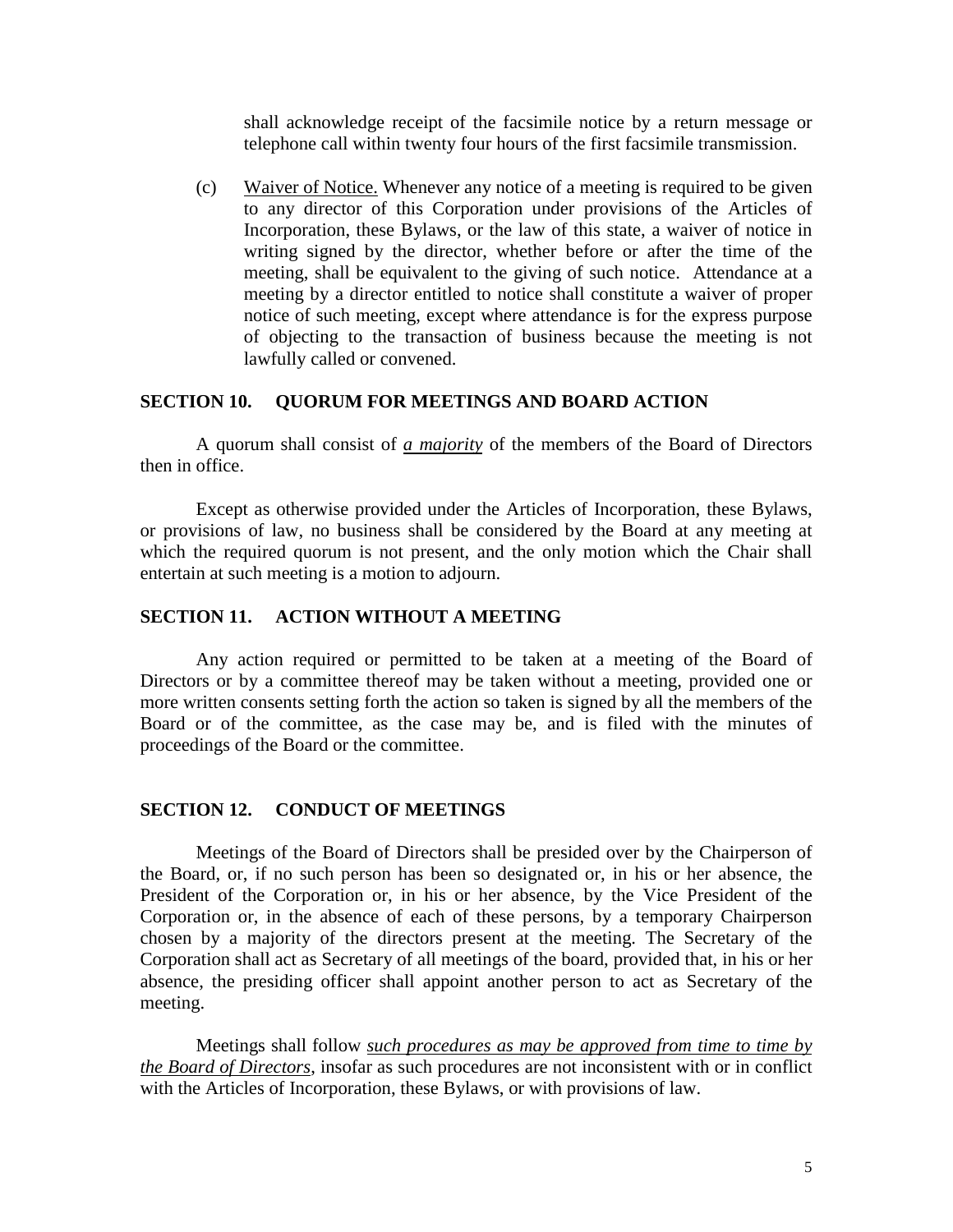shall acknowledge receipt of the facsimile notice by a return message or telephone call within twenty four hours of the first facsimile transmission.

(c) Waiver of Notice. Whenever any notice of a meeting is required to be given to any director of this Corporation under provisions of the Articles of Incorporation, these Bylaws, or the law of this state, a waiver of notice in writing signed by the director, whether before or after the time of the meeting, shall be equivalent to the giving of such notice. Attendance at a meeting by a director entitled to notice shall constitute a waiver of proper notice of such meeting, except where attendance is for the express purpose of objecting to the transaction of business because the meeting is not lawfully called or convened.

## **SECTION 10. QUORUM FOR MEETINGS AND BOARD ACTION**

A quorum shall consist of *a majority* of the members of the Board of Directors then in office.

Except as otherwise provided under the Articles of Incorporation, these Bylaws, or provisions of law, no business shall be considered by the Board at any meeting at which the required quorum is not present, and the only motion which the Chair shall entertain at such meeting is a motion to adjourn.

### **SECTION 11. ACTION WITHOUT A MEETING**

Any action required or permitted to be taken at a meeting of the Board of Directors or by a committee thereof may be taken without a meeting, provided one or more written consents setting forth the action so taken is signed by all the members of the Board or of the committee, as the case may be, and is filed with the minutes of proceedings of the Board or the committee.

#### **SECTION 12. CONDUCT OF MEETINGS**

Meetings of the Board of Directors shall be presided over by the Chairperson of the Board, or, if no such person has been so designated or, in his or her absence, the President of the Corporation or, in his or her absence, by the Vice President of the Corporation or, in the absence of each of these persons, by a temporary Chairperson chosen by a majority of the directors present at the meeting. The Secretary of the Corporation shall act as Secretary of all meetings of the board, provided that, in his or her absence, the presiding officer shall appoint another person to act as Secretary of the meeting.

Meetings shall follow *such procedures as may be approved from time to time by the Board of Directors*, insofar as such procedures are not inconsistent with or in conflict with the Articles of Incorporation, these Bylaws, or with provisions of law.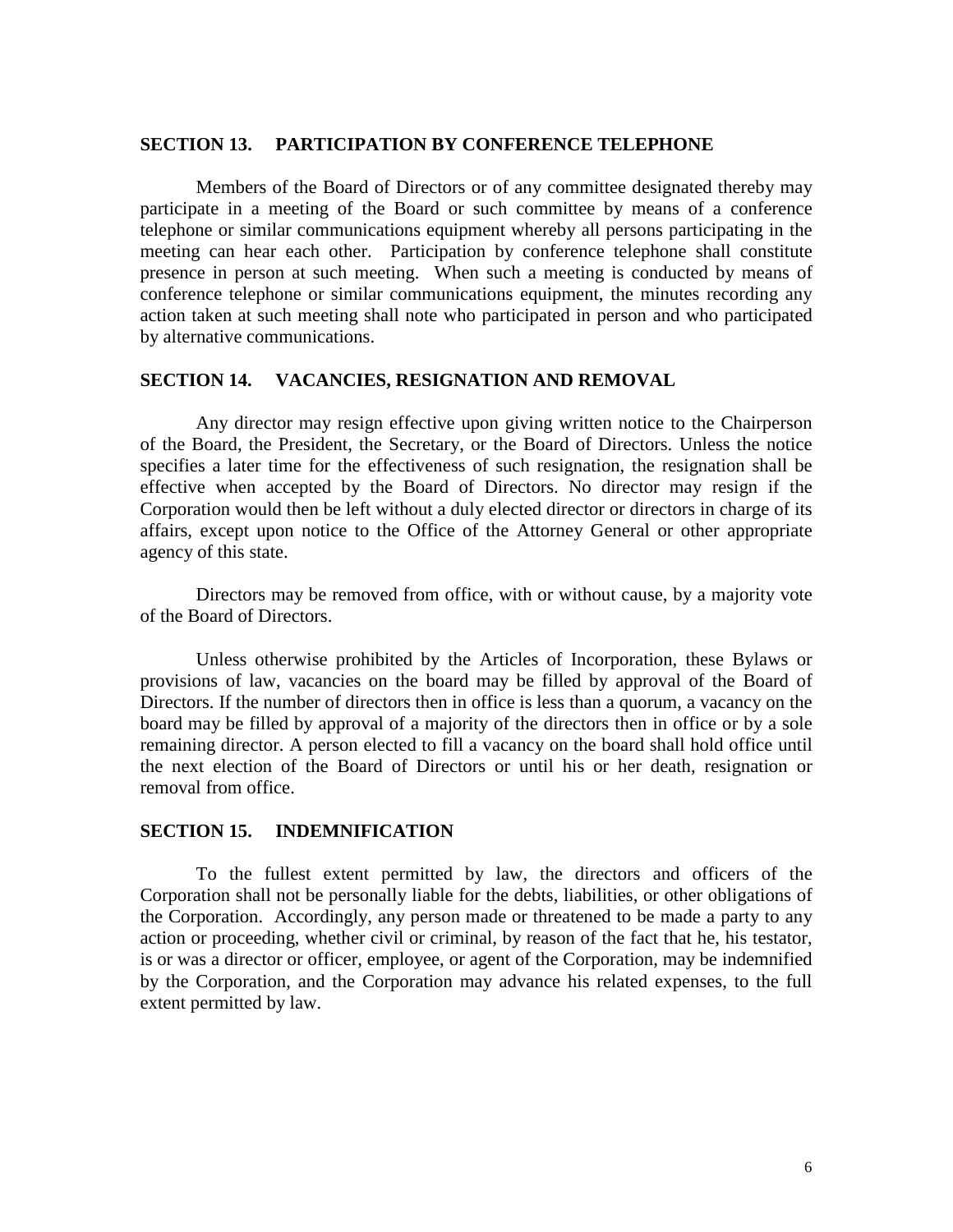#### **SECTION 13. PARTICIPATION BY CONFERENCE TELEPHONE**

Members of the Board of Directors or of any committee designated thereby may participate in a meeting of the Board or such committee by means of a conference telephone or similar communications equipment whereby all persons participating in the meeting can hear each other. Participation by conference telephone shall constitute presence in person at such meeting. When such a meeting is conducted by means of conference telephone or similar communications equipment, the minutes recording any action taken at such meeting shall note who participated in person and who participated by alternative communications.

# **SECTION 14. VACANCIES, RESIGNATION AND REMOVAL**

Any director may resign effective upon giving written notice to the Chairperson of the Board, the President, the Secretary, or the Board of Directors. Unless the notice specifies a later time for the effectiveness of such resignation, the resignation shall be effective when accepted by the Board of Directors. No director may resign if the Corporation would then be left without a duly elected director or directors in charge of its affairs, except upon notice to the Office of the Attorney General or other appropriate agency of this state.

Directors may be removed from office, with or without cause, by a majority vote of the Board of Directors.

Unless otherwise prohibited by the Articles of Incorporation, these Bylaws or provisions of law, vacancies on the board may be filled by approval of the Board of Directors. If the number of directors then in office is less than a quorum, a vacancy on the board may be filled by approval of a majority of the directors then in office or by a sole remaining director. A person elected to fill a vacancy on the board shall hold office until the next election of the Board of Directors or until his or her death, resignation or removal from office.

#### **SECTION 15. INDEMNIFICATION**

To the fullest extent permitted by law, the directors and officers of the Corporation shall not be personally liable for the debts, liabilities, or other obligations of the Corporation. Accordingly, any person made or threatened to be made a party to any action or proceeding, whether civil or criminal, by reason of the fact that he, his testator, is or was a director or officer, employee, or agent of the Corporation, may be indemnified by the Corporation, and the Corporation may advance his related expenses, to the full extent permitted by law.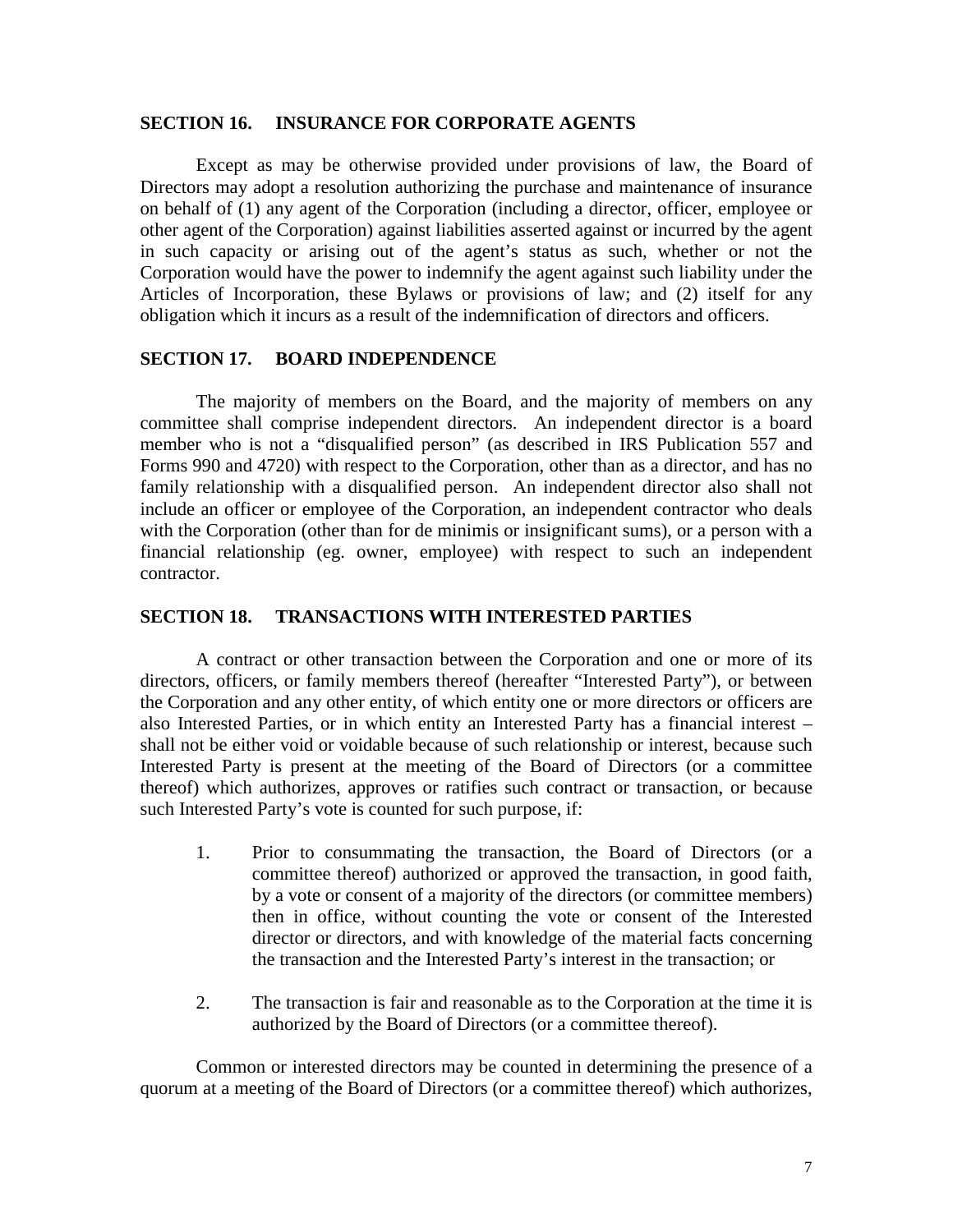#### **SECTION 16. INSURANCE FOR CORPORATE AGENTS**

Except as may be otherwise provided under provisions of law, the Board of Directors may adopt a resolution authorizing the purchase and maintenance of insurance on behalf of (1) any agent of the Corporation (including a director, officer, employee or other agent of the Corporation) against liabilities asserted against or incurred by the agent in such capacity or arising out of the agent's status as such, whether or not the Corporation would have the power to indemnify the agent against such liability under the Articles of Incorporation, these Bylaws or provisions of law; and (2) itself for any obligation which it incurs as a result of the indemnification of directors and officers.

## **SECTION 17. BOARD INDEPENDENCE**

The majority of members on the Board, and the majority of members on any committee shall comprise independent directors. An independent director is a board member who is not a "disqualified person" (as described in IRS Publication 557 and Forms 990 and 4720) with respect to the Corporation, other than as a director, and has no family relationship with a disqualified person. An independent director also shall not include an officer or employee of the Corporation, an independent contractor who deals with the Corporation (other than for de minimis or insignificant sums), or a person with a financial relationship (eg. owner, employee) with respect to such an independent contractor.

### **SECTION 18. TRANSACTIONS WITH INTERESTED PARTIES**

A contract or other transaction between the Corporation and one or more of its directors, officers, or family members thereof (hereafter "Interested Party"), or between the Corporation and any other entity, of which entity one or more directors or officers are also Interested Parties, or in which entity an Interested Party has a financial interest – shall not be either void or voidable because of such relationship or interest, because such Interested Party is present at the meeting of the Board of Directors (or a committee thereof) which authorizes, approves or ratifies such contract or transaction, or because such Interested Party's vote is counted for such purpose, if:

- 1. Prior to consummating the transaction, the Board of Directors (or a committee thereof) authorized or approved the transaction, in good faith, by a vote or consent of a majority of the directors (or committee members) then in office, without counting the vote or consent of the Interested director or directors, and with knowledge of the material facts concerning the transaction and the Interested Party's interest in the transaction; or
- 2. The transaction is fair and reasonable as to the Corporation at the time it is authorized by the Board of Directors (or a committee thereof).

Common or interested directors may be counted in determining the presence of a quorum at a meeting of the Board of Directors (or a committee thereof) which authorizes,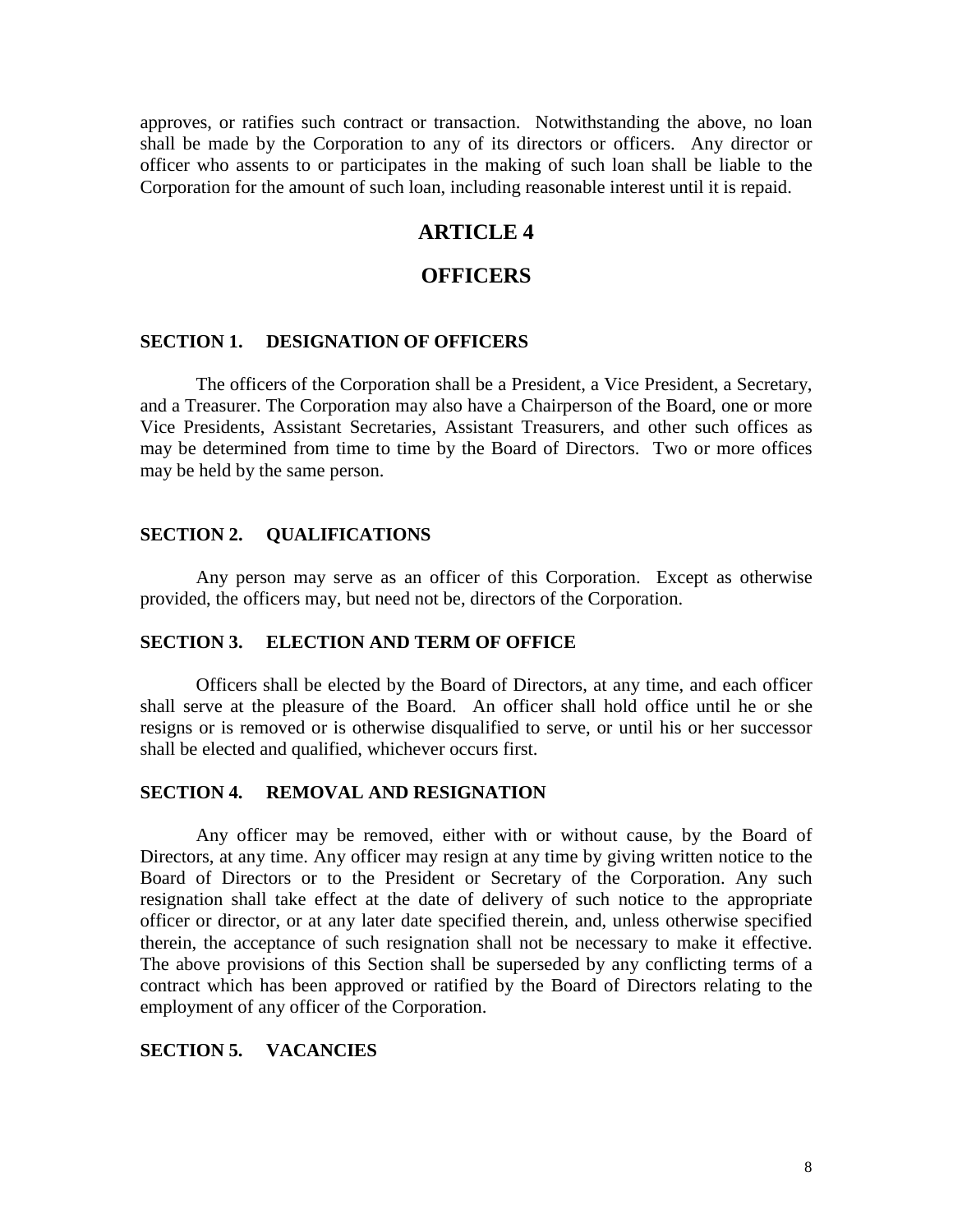approves, or ratifies such contract or transaction. Notwithstanding the above, no loan shall be made by the Corporation to any of its directors or officers. Any director or officer who assents to or participates in the making of such loan shall be liable to the Corporation for the amount of such loan, including reasonable interest until it is repaid.

# **ARTICLE 4**

# **OFFICERS**

#### **SECTION 1. DESIGNATION OF OFFICERS**

The officers of the Corporation shall be a President, a Vice President, a Secretary, and a Treasurer. The Corporation may also have a Chairperson of the Board, one or more Vice Presidents, Assistant Secretaries, Assistant Treasurers, and other such offices as may be determined from time to time by the Board of Directors. Two or more offices may be held by the same person.

### **SECTION 2. QUALIFICATIONS**

Any person may serve as an officer of this Corporation. Except as otherwise provided, the officers may, but need not be, directors of the Corporation.

### **SECTION 3. ELECTION AND TERM OF OFFICE**

Officers shall be elected by the Board of Directors, at any time, and each officer shall serve at the pleasure of the Board. An officer shall hold office until he or she resigns or is removed or is otherwise disqualified to serve, or until his or her successor shall be elected and qualified, whichever occurs first.

#### **SECTION 4. REMOVAL AND RESIGNATION**

Any officer may be removed, either with or without cause, by the Board of Directors, at any time. Any officer may resign at any time by giving written notice to the Board of Directors or to the President or Secretary of the Corporation. Any such resignation shall take effect at the date of delivery of such notice to the appropriate officer or director, or at any later date specified therein, and, unless otherwise specified therein, the acceptance of such resignation shall not be necessary to make it effective. The above provisions of this Section shall be superseded by any conflicting terms of a contract which has been approved or ratified by the Board of Directors relating to the employment of any officer of the Corporation.

## **SECTION 5. VACANCIES**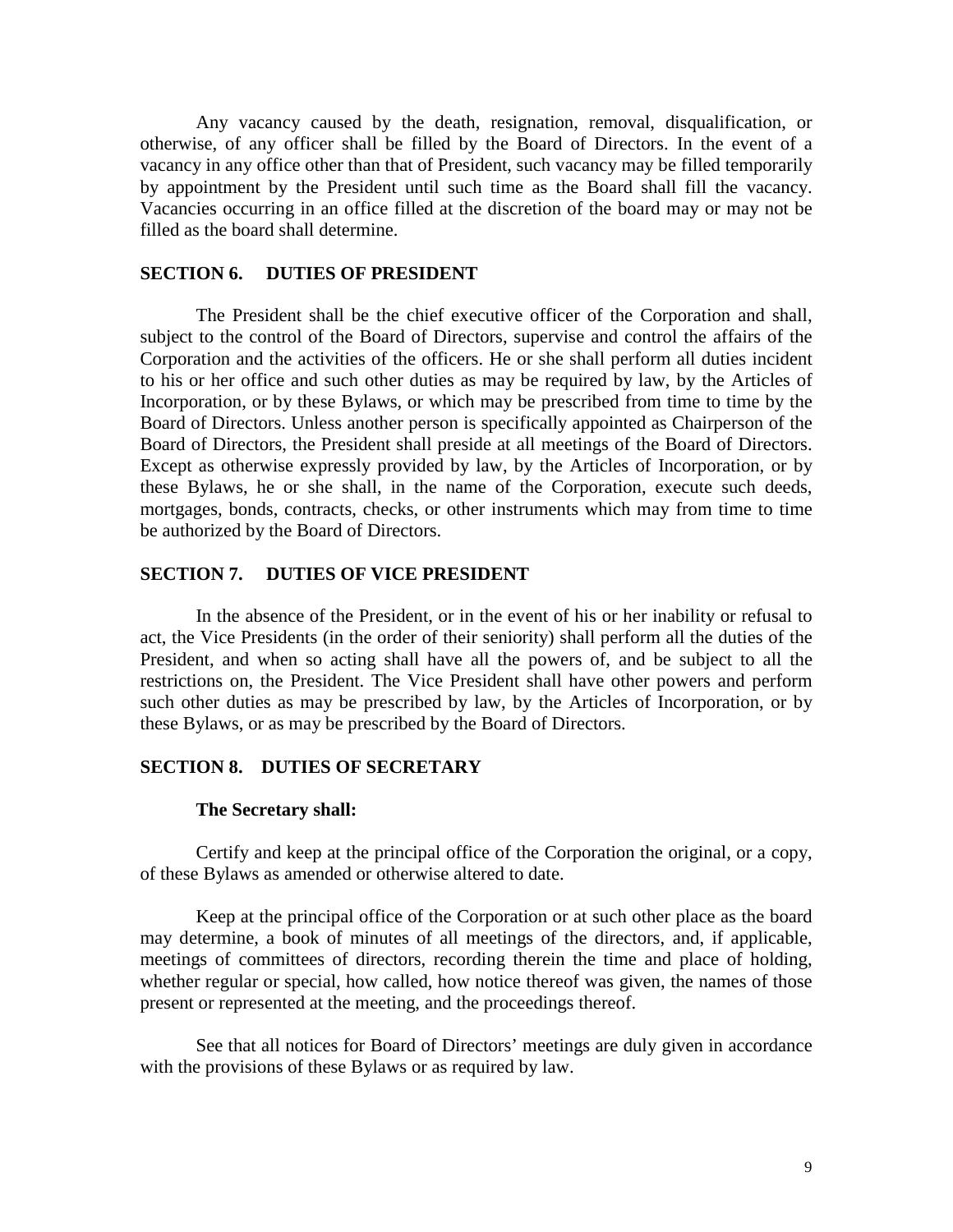Any vacancy caused by the death, resignation, removal, disqualification, or otherwise, of any officer shall be filled by the Board of Directors. In the event of a vacancy in any office other than that of President, such vacancy may be filled temporarily by appointment by the President until such time as the Board shall fill the vacancy. Vacancies occurring in an office filled at the discretion of the board may or may not be filled as the board shall determine.

#### **SECTION 6. DUTIES OF PRESIDENT**

The President shall be the chief executive officer of the Corporation and shall, subject to the control of the Board of Directors, supervise and control the affairs of the Corporation and the activities of the officers. He or she shall perform all duties incident to his or her office and such other duties as may be required by law, by the Articles of Incorporation, or by these Bylaws, or which may be prescribed from time to time by the Board of Directors. Unless another person is specifically appointed as Chairperson of the Board of Directors, the President shall preside at all meetings of the Board of Directors. Except as otherwise expressly provided by law, by the Articles of Incorporation, or by these Bylaws, he or she shall, in the name of the Corporation, execute such deeds, mortgages, bonds, contracts, checks, or other instruments which may from time to time be authorized by the Board of Directors.

## **SECTION 7. DUTIES OF VICE PRESIDENT**

In the absence of the President, or in the event of his or her inability or refusal to act, the Vice Presidents (in the order of their seniority) shall perform all the duties of the President, and when so acting shall have all the powers of, and be subject to all the restrictions on, the President. The Vice President shall have other powers and perform such other duties as may be prescribed by law, by the Articles of Incorporation, or by these Bylaws, or as may be prescribed by the Board of Directors.

## **SECTION 8. DUTIES OF SECRETARY**

#### **The Secretary shall:**

Certify and keep at the principal office of the Corporation the original, or a copy, of these Bylaws as amended or otherwise altered to date.

Keep at the principal office of the Corporation or at such other place as the board may determine, a book of minutes of all meetings of the directors, and, if applicable, meetings of committees of directors, recording therein the time and place of holding, whether regular or special, how called, how notice thereof was given, the names of those present or represented at the meeting, and the proceedings thereof.

See that all notices for Board of Directors' meetings are duly given in accordance with the provisions of these Bylaws or as required by law.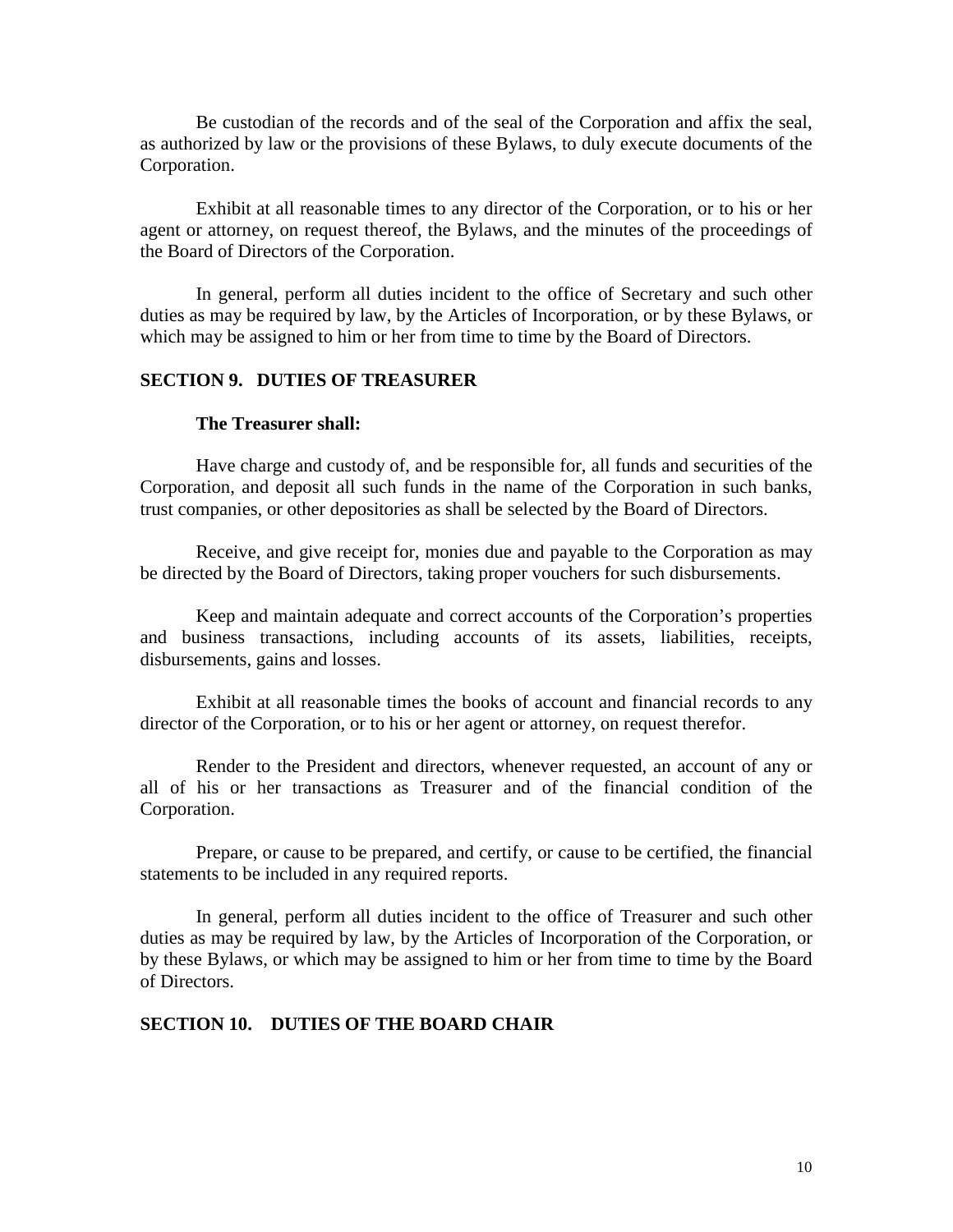Be custodian of the records and of the seal of the Corporation and affix the seal, as authorized by law or the provisions of these Bylaws, to duly execute documents of the Corporation.

Exhibit at all reasonable times to any director of the Corporation, or to his or her agent or attorney, on request thereof, the Bylaws, and the minutes of the proceedings of the Board of Directors of the Corporation.

In general, perform all duties incident to the office of Secretary and such other duties as may be required by law, by the Articles of Incorporation, or by these Bylaws, or which may be assigned to him or her from time to time by the Board of Directors.

# **SECTION 9. DUTIES OF TREASURER**

#### **The Treasurer shall:**

Have charge and custody of, and be responsible for, all funds and securities of the Corporation, and deposit all such funds in the name of the Corporation in such banks, trust companies, or other depositories as shall be selected by the Board of Directors.

Receive, and give receipt for, monies due and payable to the Corporation as may be directed by the Board of Directors, taking proper vouchers for such disbursements.

Keep and maintain adequate and correct accounts of the Corporation's properties and business transactions, including accounts of its assets, liabilities, receipts, disbursements, gains and losses.

Exhibit at all reasonable times the books of account and financial records to any director of the Corporation, or to his or her agent or attorney, on request therefor.

Render to the President and directors, whenever requested, an account of any or all of his or her transactions as Treasurer and of the financial condition of the Corporation.

Prepare, or cause to be prepared, and certify, or cause to be certified, the financial statements to be included in any required reports.

In general, perform all duties incident to the office of Treasurer and such other duties as may be required by law, by the Articles of Incorporation of the Corporation, or by these Bylaws, or which may be assigned to him or her from time to time by the Board of Directors.

#### **SECTION 10. DUTIES OF THE BOARD CHAIR**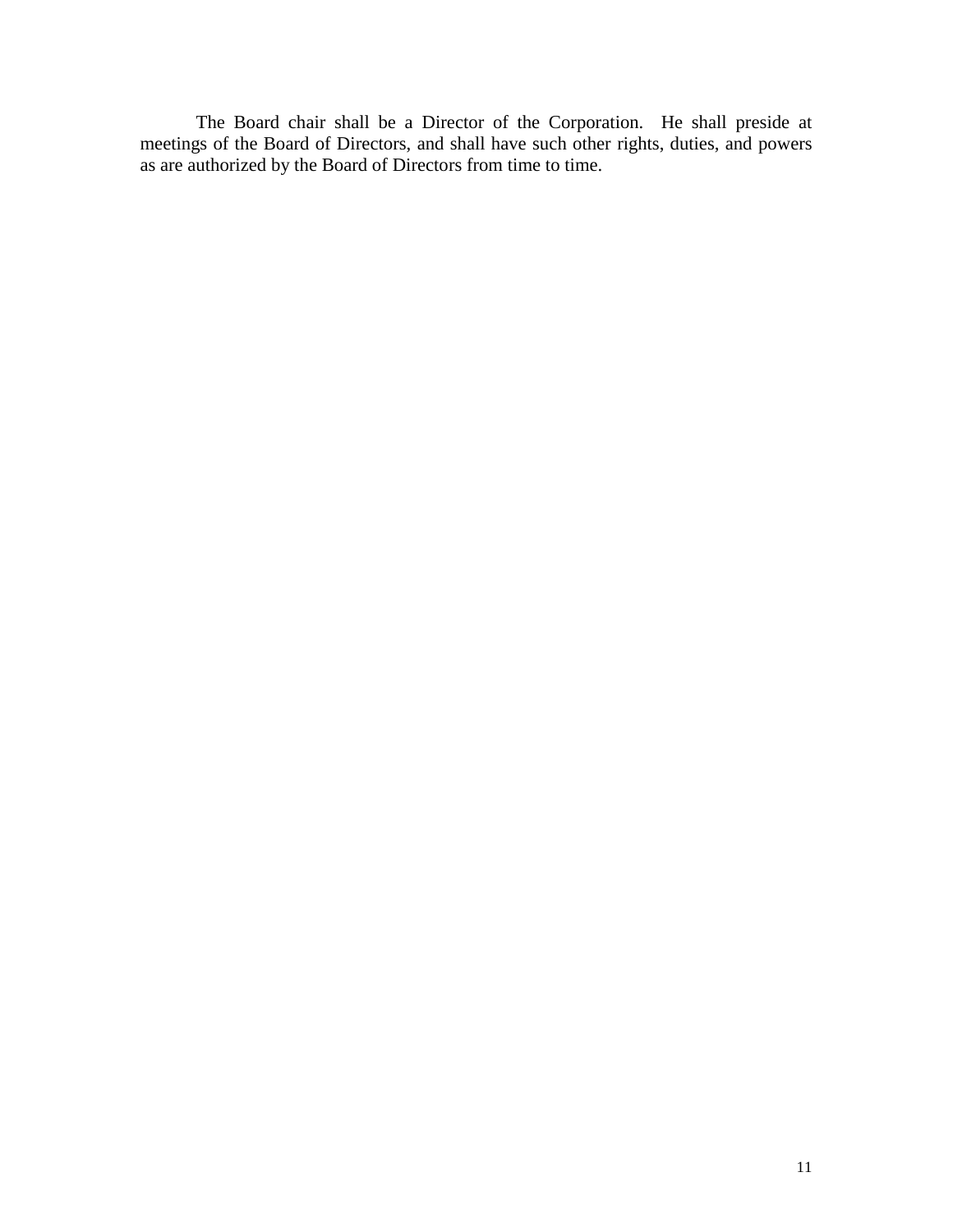The Board chair shall be a Director of the Corporation. He shall preside at meetings of the Board of Directors, and shall have such other rights, duties, and powers as are authorized by the Board of Directors from time to time.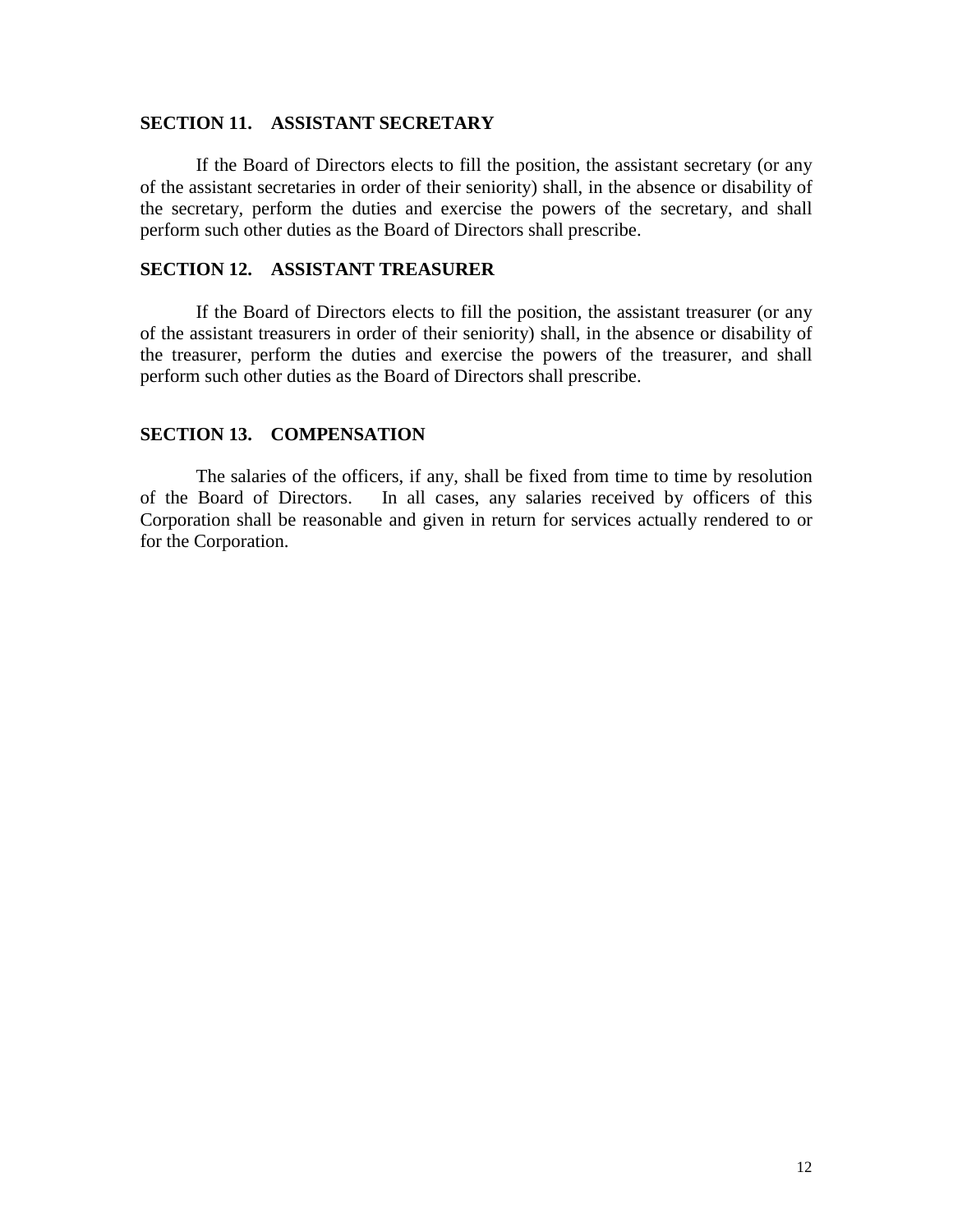# **SECTION 11. ASSISTANT SECRETARY**

If the Board of Directors elects to fill the position, the assistant secretary (or any of the assistant secretaries in order of their seniority) shall, in the absence or disability of the secretary, perform the duties and exercise the powers of the secretary, and shall perform such other duties as the Board of Directors shall prescribe.

## **SECTION 12. ASSISTANT TREASURER**

If the Board of Directors elects to fill the position, the assistant treasurer (or any of the assistant treasurers in order of their seniority) shall, in the absence or disability of the treasurer, perform the duties and exercise the powers of the treasurer, and shall perform such other duties as the Board of Directors shall prescribe.

# **SECTION 13. COMPENSATION**

The salaries of the officers, if any, shall be fixed from time to time by resolution of the Board of Directors. In all cases, any salaries received by officers of this Corporation shall be reasonable and given in return for services actually rendered to or for the Corporation.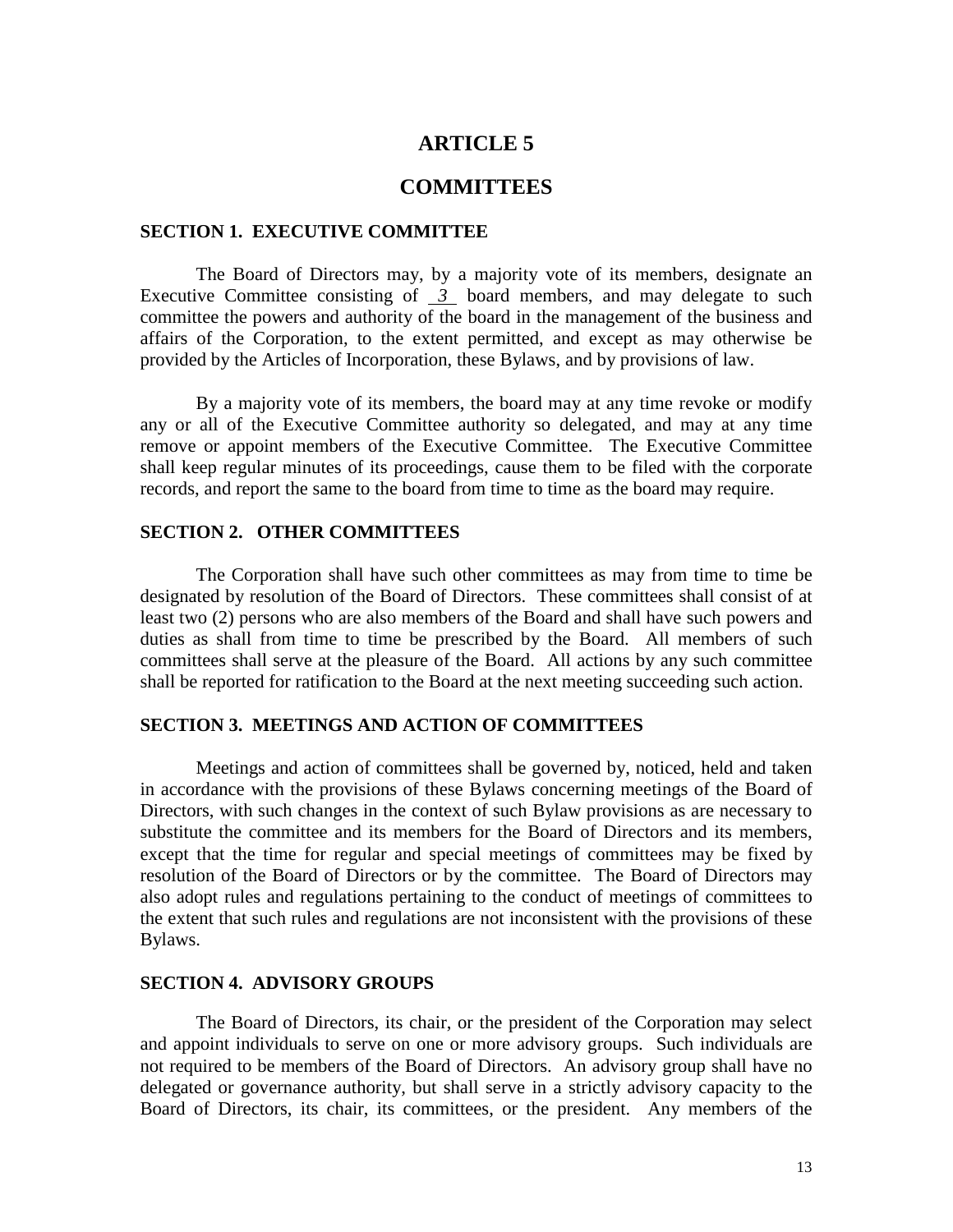# **COMMITTEES**

### **SECTION 1. EXECUTIVE COMMITTEE**

The Board of Directors may, by a majority vote of its members, designate an Executive Committee consisting of  $\overline{3}$  board members, and may delegate to such committee the powers and authority of the board in the management of the business and affairs of the Corporation, to the extent permitted, and except as may otherwise be provided by the Articles of Incorporation, these Bylaws, and by provisions of law.

By a majority vote of its members, the board may at any time revoke or modify any or all of the Executive Committee authority so delegated, and may at any time remove or appoint members of the Executive Committee. The Executive Committee shall keep regular minutes of its proceedings, cause them to be filed with the corporate records, and report the same to the board from time to time as the board may require.

## **SECTION 2. OTHER COMMITTEES**

The Corporation shall have such other committees as may from time to time be designated by resolution of the Board of Directors. These committees shall consist of at least two (2) persons who are also members of the Board and shall have such powers and duties as shall from time to time be prescribed by the Board. All members of such committees shall serve at the pleasure of the Board. All actions by any such committee shall be reported for ratification to the Board at the next meeting succeeding such action.

#### **SECTION 3. MEETINGS AND ACTION OF COMMITTEES**

Meetings and action of committees shall be governed by, noticed, held and taken in accordance with the provisions of these Bylaws concerning meetings of the Board of Directors, with such changes in the context of such Bylaw provisions as are necessary to substitute the committee and its members for the Board of Directors and its members, except that the time for regular and special meetings of committees may be fixed by resolution of the Board of Directors or by the committee. The Board of Directors may also adopt rules and regulations pertaining to the conduct of meetings of committees to the extent that such rules and regulations are not inconsistent with the provisions of these Bylaws.

#### **SECTION 4. ADVISORY GROUPS**

The Board of Directors, its chair, or the president of the Corporation may select and appoint individuals to serve on one or more advisory groups. Such individuals are not required to be members of the Board of Directors. An advisory group shall have no delegated or governance authority, but shall serve in a strictly advisory capacity to the Board of Directors, its chair, its committees, or the president. Any members of the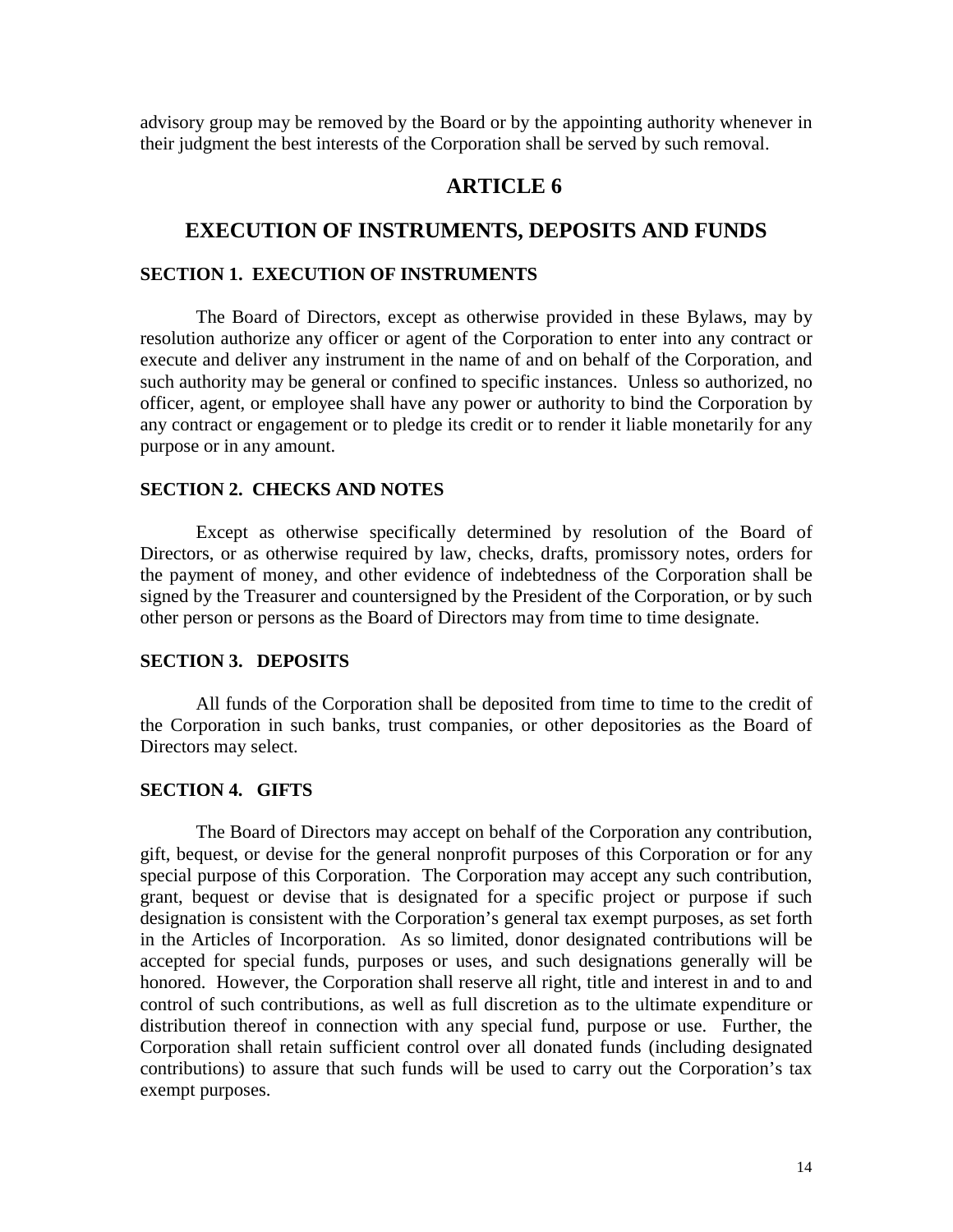advisory group may be removed by the Board or by the appointing authority whenever in their judgment the best interests of the Corporation shall be served by such removal.

# **ARTICLE 6**

# **EXECUTION OF INSTRUMENTS, DEPOSITS AND FUNDS**

### **SECTION 1. EXECUTION OF INSTRUMENTS**

The Board of Directors, except as otherwise provided in these Bylaws, may by resolution authorize any officer or agent of the Corporation to enter into any contract or execute and deliver any instrument in the name of and on behalf of the Corporation, and such authority may be general or confined to specific instances. Unless so authorized, no officer, agent, or employee shall have any power or authority to bind the Corporation by any contract or engagement or to pledge its credit or to render it liable monetarily for any purpose or in any amount.

## **SECTION 2. CHECKS AND NOTES**

Except as otherwise specifically determined by resolution of the Board of Directors, or as otherwise required by law, checks, drafts, promissory notes, orders for the payment of money, and other evidence of indebtedness of the Corporation shall be signed by the Treasurer and countersigned by the President of the Corporation, or by such other person or persons as the Board of Directors may from time to time designate.

#### **SECTION 3. DEPOSITS**

All funds of the Corporation shall be deposited from time to time to the credit of the Corporation in such banks, trust companies, or other depositories as the Board of Directors may select.

## **SECTION 4. GIFTS**

The Board of Directors may accept on behalf of the Corporation any contribution, gift, bequest, or devise for the general nonprofit purposes of this Corporation or for any special purpose of this Corporation. The Corporation may accept any such contribution, grant, bequest or devise that is designated for a specific project or purpose if such designation is consistent with the Corporation's general tax exempt purposes, as set forth in the Articles of Incorporation. As so limited, donor designated contributions will be accepted for special funds, purposes or uses, and such designations generally will be honored. However, the Corporation shall reserve all right, title and interest in and to and control of such contributions, as well as full discretion as to the ultimate expenditure or distribution thereof in connection with any special fund, purpose or use. Further, the Corporation shall retain sufficient control over all donated funds (including designated contributions) to assure that such funds will be used to carry out the Corporation's tax exempt purposes.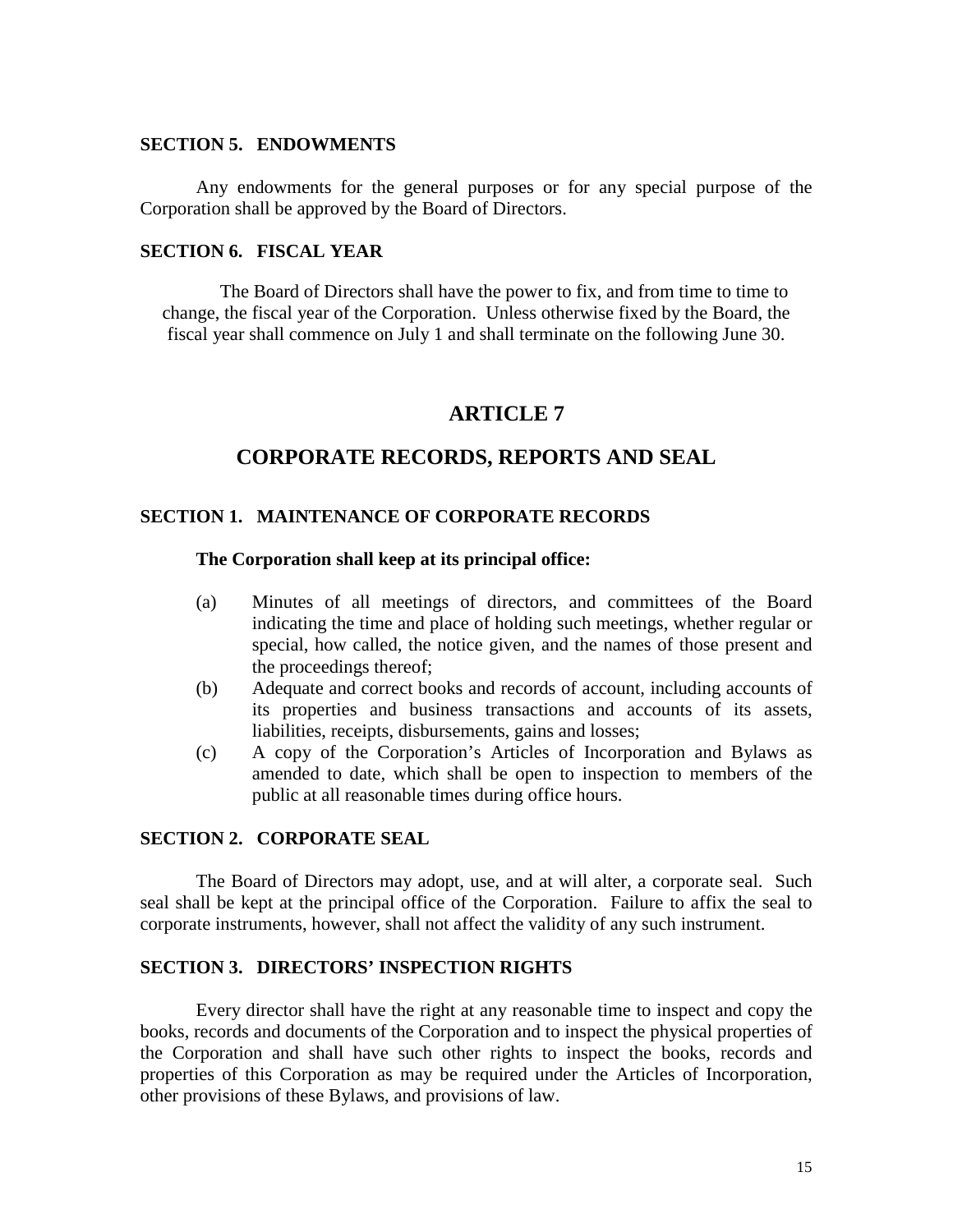### **SECTION 5. ENDOWMENTS**

Any endowments for the general purposes or for any special purpose of the Corporation shall be approved by the Board of Directors.

## **SECTION 6. FISCAL YEAR**

The Board of Directors shall have the power to fix, and from time to time to change, the fiscal year of the Corporation. Unless otherwise fixed by the Board, the fiscal year shall commence on July 1 and shall terminate on the following June 30.

# **ARTICLE 7**

# **CORPORATE RECORDS, REPORTS AND SEAL**

# **SECTION 1. MAINTENANCE OF CORPORATE RECORDS**

### **The Corporation shall keep at its principal office:**

- (a) Minutes of all meetings of directors, and committees of the Board indicating the time and place of holding such meetings, whether regular or special, how called, the notice given, and the names of those present and the proceedings thereof;
- (b) Adequate and correct books and records of account, including accounts of its properties and business transactions and accounts of its assets, liabilities, receipts, disbursements, gains and losses;
- (c) A copy of the Corporation's Articles of Incorporation and Bylaws as amended to date, which shall be open to inspection to members of the public at all reasonable times during office hours.

# **SECTION 2. CORPORATE SEAL**

The Board of Directors may adopt, use, and at will alter, a corporate seal. Such seal shall be kept at the principal office of the Corporation. Failure to affix the seal to corporate instruments, however, shall not affect the validity of any such instrument.

## **SECTION 3. DIRECTORS' INSPECTION RIGHTS**

Every director shall have the right at any reasonable time to inspect and copy the books, records and documents of the Corporation and to inspect the physical properties of the Corporation and shall have such other rights to inspect the books, records and properties of this Corporation as may be required under the Articles of Incorporation, other provisions of these Bylaws, and provisions of law.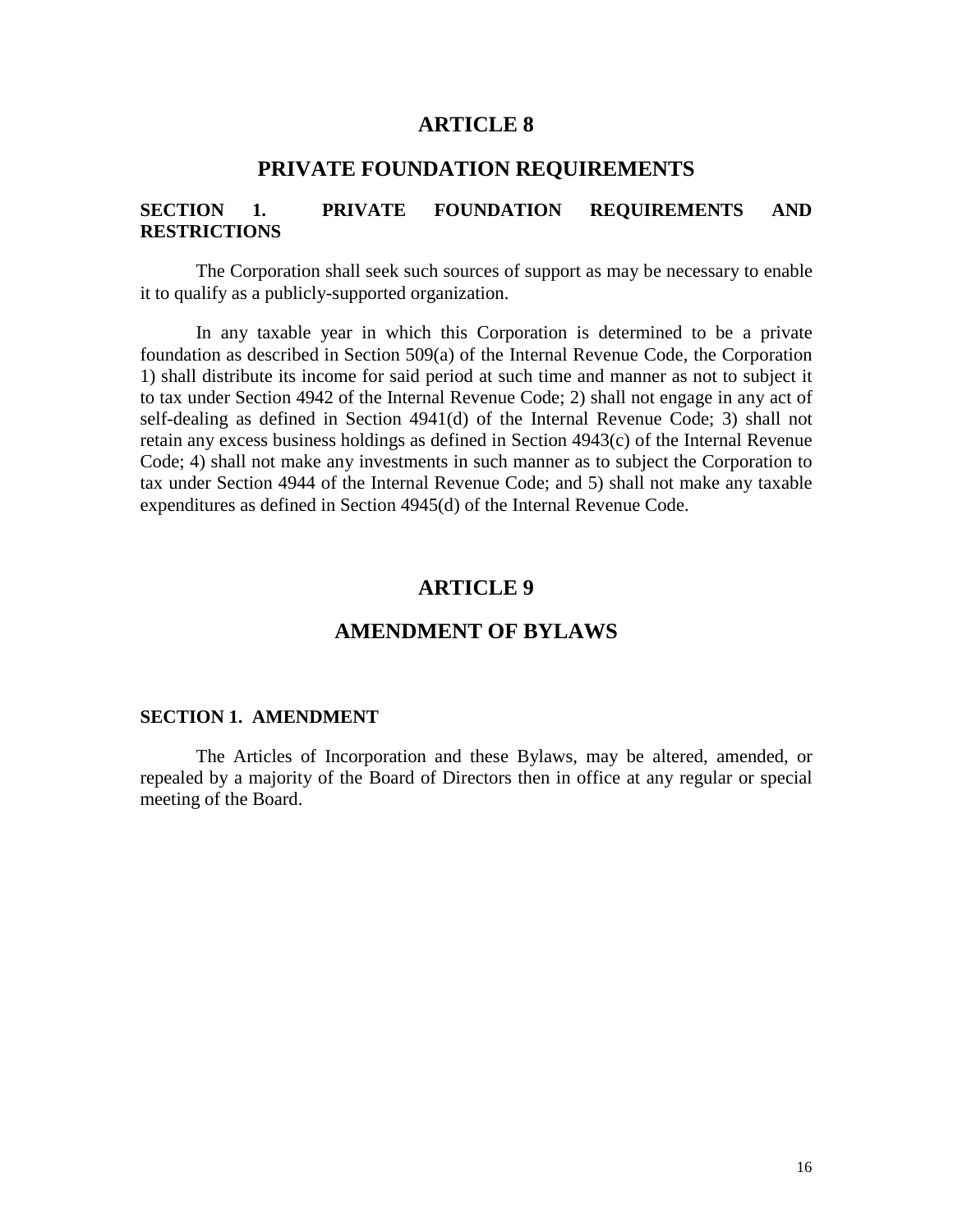# **PRIVATE FOUNDATION REQUIREMENTS**

### **SECTION 1. PRIVATE FOUNDATION REQUIREMENTS AND RESTRICTIONS**

The Corporation shall seek such sources of support as may be necessary to enable it to qualify as a publicly-supported organization.

In any taxable year in which this Corporation is determined to be a private foundation as described in Section 509(a) of the Internal Revenue Code, the Corporation 1) shall distribute its income for said period at such time and manner as not to subject it to tax under Section 4942 of the Internal Revenue Code; 2) shall not engage in any act of self-dealing as defined in Section 4941(d) of the Internal Revenue Code; 3) shall not retain any excess business holdings as defined in Section 4943(c) of the Internal Revenue Code; 4) shall not make any investments in such manner as to subject the Corporation to tax under Section 4944 of the Internal Revenue Code; and 5) shall not make any taxable expenditures as defined in Section 4945(d) of the Internal Revenue Code.

# **ARTICLE 9**

# **AMENDMENT OF BYLAWS**

#### **SECTION 1. AMENDMENT**

The Articles of Incorporation and these Bylaws, may be altered, amended, or repealed by a majority of the Board of Directors then in office at any regular or special meeting of the Board.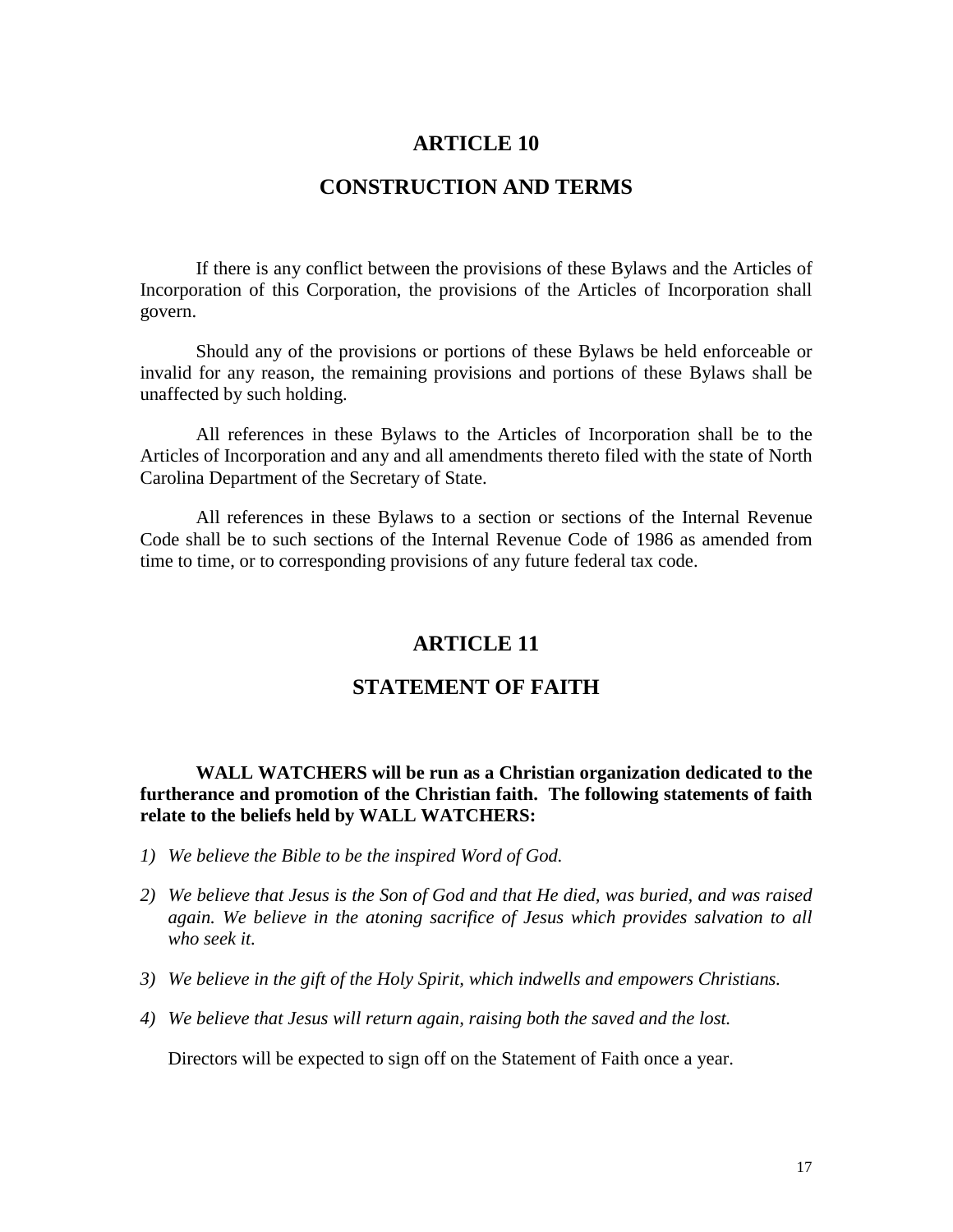# **CONSTRUCTION AND TERMS**

If there is any conflict between the provisions of these Bylaws and the Articles of Incorporation of this Corporation, the provisions of the Articles of Incorporation shall govern.

Should any of the provisions or portions of these Bylaws be held enforceable or invalid for any reason, the remaining provisions and portions of these Bylaws shall be unaffected by such holding.

All references in these Bylaws to the Articles of Incorporation shall be to the Articles of Incorporation and any and all amendments thereto filed with the state of North Carolina Department of the Secretary of State.

All references in these Bylaws to a section or sections of the Internal Revenue Code shall be to such sections of the Internal Revenue Code of 1986 as amended from time to time, or to corresponding provisions of any future federal tax code.

# **ARTICLE 11**

# **STATEMENT OF FAITH**

**WALL WATCHERS will be run as a Christian organization dedicated to the furtherance and promotion of the Christian faith. The following statements of faith relate to the beliefs held by WALL WATCHERS:**

- *1) We believe the Bible to be the inspired Word of God.*
- *2) We believe that Jesus is the Son of God and that He died, was buried, and was raised again. We believe in the atoning sacrifice of Jesus which provides salvation to all who seek it.*
- *3) We believe in the gift of the Holy Spirit, which indwells and empowers Christians.*
- *4) We believe that Jesus will return again, raising both the saved and the lost.*

Directors will be expected to sign off on the Statement of Faith once a year.